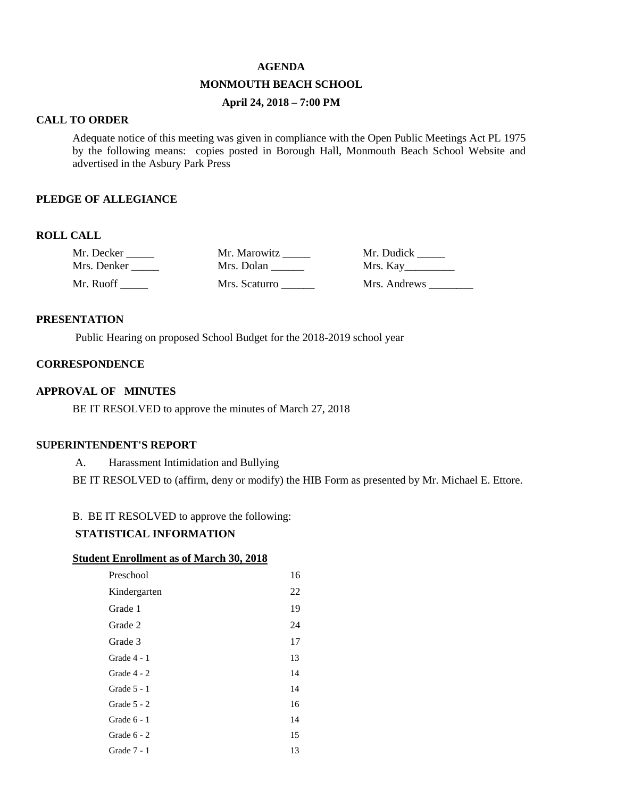#### **AGENDA**

# **MONMOUTH BEACH SCHOOL**

# **April 24, 2018 – 7:00 PM**

### **CALL TO ORDER**

Adequate notice of this meeting was given in compliance with the Open Public Meetings Act PL 1975 by the following means: copies posted in Borough Hall, Monmouth Beach School Website and advertised in the Asbury Park Press

#### **PLEDGE OF ALLEGIANCE**

# **ROLL CALL**

| Mr. Decker  | Mr. Marowitz  | Mr. Dudick   |
|-------------|---------------|--------------|
| Mrs. Denker | Mrs. Dolan    | Mrs. Kay     |
| Mr. Ruoff-  | Mrs. Scaturro | Mrs. Andrews |

#### **PRESENTATION**

Public Hearing on proposed School Budget for the 2018-2019 school year

### **CORRESPONDENCE**

### **APPROVAL OF MINUTES**

BE IT RESOLVED to approve the minutes of March 27, 2018

#### **SUPERINTENDENT'S REPORT**

A. Harassment Intimidation and Bullying

BE IT RESOLVED to (affirm, deny or modify) the HIB Form as presented by Mr. Michael E. Ettore.

# B. BE IT RESOLVED to approve the following:

### **STATISTICAL INFORMATION**

#### **Student Enrollment as of March 30, 2018**

| Preschool     | 16 |
|---------------|----|
| Kindergarten  | 22 |
| Grade 1       | 19 |
| Grade 2       | 24 |
| Grade 3       | 17 |
| Grade 4 - 1   | 13 |
| Grade $4 - 2$ | 14 |
| Grade $5 - 1$ | 14 |
| Grade $5 - 2$ | 16 |
| Grade $6 - 1$ | 14 |
| Grade $6 - 2$ | 15 |
| Grade 7 - 1   | 13 |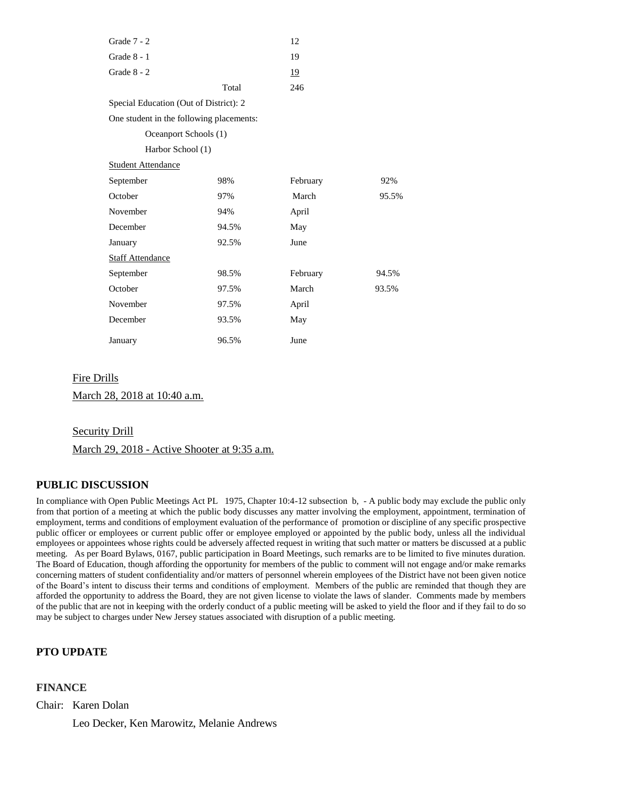| Grade $7 - 2$                            |       | 12       |       |
|------------------------------------------|-------|----------|-------|
| Grade 8 - 1                              |       | 19       |       |
| Grade $8 - 2$                            |       | 19       |       |
|                                          | Total | 246      |       |
| Special Education (Out of District): 2   |       |          |       |
| One student in the following placements: |       |          |       |
| Oceanport Schools (1)                    |       |          |       |
| Harbor School (1)                        |       |          |       |
| <b>Student Attendance</b>                |       |          |       |
| September                                | 98%   | February | 92%   |
| October                                  | 97%   | March    | 95.5% |
| November                                 | 94%   | April    |       |
| December                                 | 94.5% | May      |       |
| January                                  | 92.5% | June     |       |
| <b>Staff Attendance</b>                  |       |          |       |
| September                                | 98.5% | February | 94.5% |
| October                                  | 97.5% | March    | 93.5% |
| November                                 | 97.5% | April    |       |
| December                                 | 93.5% | May      |       |
| January                                  | 96.5% | June     |       |

#### Fire Drills

March 28, 2018 at 10:40 a.m.

Security Drill

March 29, 2018 - Active Shooter at 9:35 a.m.

#### **PUBLIC DISCUSSION**

In compliance with Open Public Meetings Act PL 1975, Chapter 10:4-12 subsection b, - A public body may exclude the public only from that portion of a meeting at which the public body discusses any matter involving the employment, appointment, termination of employment, terms and conditions of employment evaluation of the performance of promotion or discipline of any specific prospective public officer or employees or current public offer or employee employed or appointed by the public body, unless all the individual employees or appointees whose rights could be adversely affected request in writing that such matter or matters be discussed at a public meeting. As per Board Bylaws, 0167, public participation in Board Meetings, such remarks are to be limited to five minutes duration. The Board of Education, though affording the opportunity for members of the public to comment will not engage and/or make remarks concerning matters of student confidentiality and/or matters of personnel wherein employees of the District have not been given notice of the Board's intent to discuss their terms and conditions of employment. Members of the public are reminded that though they are afforded the opportunity to address the Board, they are not given license to violate the laws of slander. Comments made by members of the public that are not in keeping with the orderly conduct of a public meeting will be asked to yield the floor and if they fail to do so may be subject to charges under New Jersey statues associated with disruption of a public meeting.

# **PTO UPDATE**

### **FINANCE**

Chair: Karen Dolan

Leo Decker, Ken Marowitz, Melanie Andrews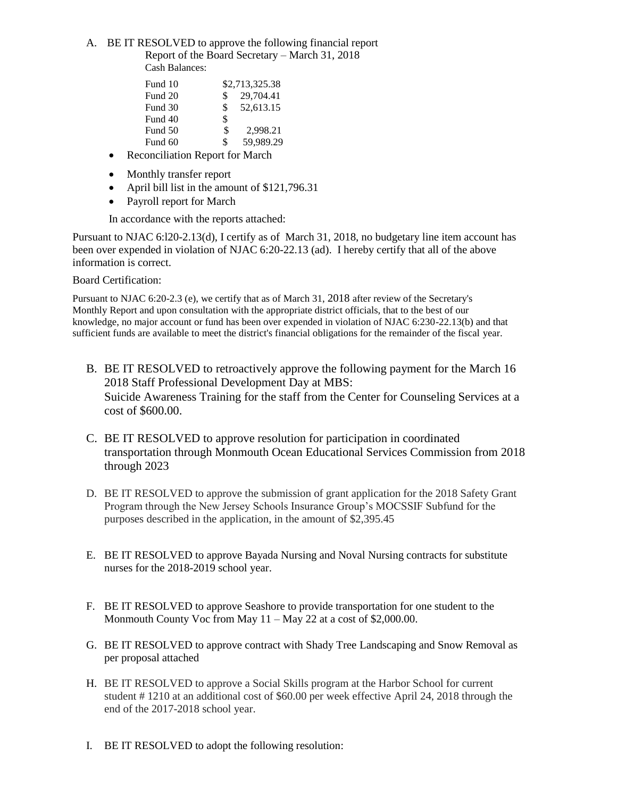### A. BE IT RESOLVED to approve the following financial report Report of the Board Secretary – March 31, 2018 Cash Balances:

| Fund 10 |              | \$2,713,325.38 |
|---------|--------------|----------------|
| Fund 20 | $\mathbb{S}$ | 29,704.41      |
| Fund 30 | \$.          | 52,613.15      |
| Fund 40 | \$           |                |
| Fund 50 | \$           | 2,998.21       |
| Fund 60 | ፍ            | 59,989.29      |

- Reconciliation Report for March
- Monthly transfer report
- April bill list in the amount of \$121,796.31
- Payroll report for March

In accordance with the reports attached:

Pursuant to NJAC 6:l20-2.13(d), I certify as of March 31, 2018, no budgetary line item account has been over expended in violation of NJAC 6:20-22.13 (ad). I hereby certify that all of the above information is correct.

Board Certification:

Pursuant to NJAC 6:20-2.3 (e), we certify that as of March 31, 2018 after review of the Secretary's Monthly Report and upon consultation with the appropriate district officials, that to the best of our knowledge, no major account or fund has been over expended in violation of NJAC 6:230-22.13(b) and that sufficient funds are available to meet the district's financial obligations for the remainder of the fiscal year.

- B. BE IT RESOLVED to retroactively approve the following payment for the March 16 2018 Staff Professional Development Day at MBS: Suicide Awareness Training for the staff from the Center for Counseling Services at a cost of \$600.00.
- C. BE IT RESOLVED to approve resolution for participation in coordinated transportation through Monmouth Ocean Educational Services Commission from 2018 through 2023
- D. BE IT RESOLVED to approve the submission of grant application for the 2018 Safety Grant Program through the New Jersey Schools Insurance Group's MOCSSIF Subfund for the purposes described in the application, in the amount of \$2,395.45
- E. BE IT RESOLVED to approve Bayada Nursing and Noval Nursing contracts for substitute nurses for the 2018-2019 school year.
- F. BE IT RESOLVED to approve Seashore to provide transportation for one student to the Monmouth County Voc from May 11 – May 22 at a cost of \$2,000.00.
- G. BE IT RESOLVED to approve contract with Shady Tree Landscaping and Snow Removal as per proposal attached
- H. BE IT RESOLVED to approve a Social Skills program at the Harbor School for current student # 1210 at an additional cost of \$60.00 per week effective April 24, 2018 through the end of the 2017-2018 school year.
- I. BE IT RESOLVED to adopt the following resolution: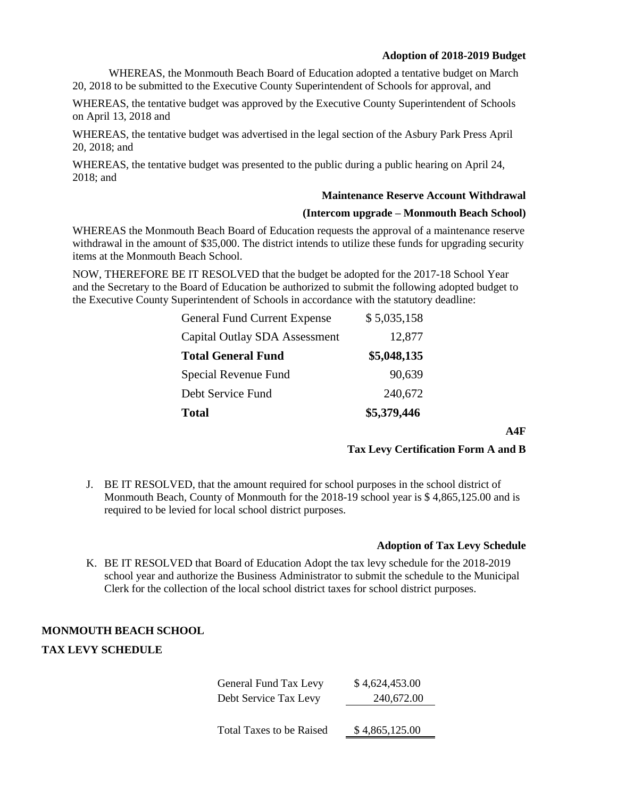WHEREAS, the Monmouth Beach Board of Education adopted a tentative budget on March 20, 2018 to be submitted to the Executive County Superintendent of Schools for approval, and

WHEREAS, the tentative budget was approved by the Executive County Superintendent of Schools on April 13, 2018 and

WHEREAS, the tentative budget was advertised in the legal section of the Asbury Park Press April 20, 2018; and

WHEREAS, the tentative budget was presented to the public during a public hearing on April 24, 2018; and

# **Maintenance Reserve Account Withdrawal**

### **(Intercom upgrade – Monmouth Beach School)**

WHEREAS the Monmouth Beach Board of Education requests the approval of a maintenance reserve withdrawal in the amount of \$35,000. The district intends to utilize these funds for upgrading security items at the Monmouth Beach School.

NOW, THEREFORE BE IT RESOLVED that the budget be adopted for the 2017-18 School Year and the Secretary to the Board of Education be authorized to submit the following adopted budget to the Executive County Superintendent of Schools in accordance with the statutory deadline:

| <b>Total</b>                         | \$5,379,446 |
|--------------------------------------|-------------|
| Debt Service Fund                    | 240,672     |
| Special Revenue Fund                 | 90,639      |
| <b>Total General Fund</b>            | \$5,048,135 |
| <b>Capital Outlay SDA Assessment</b> | 12,877      |
| <b>General Fund Current Expense</b>  | \$5,035,158 |

**A4F**

# **Tax Levy Certification Form A and B**

J. BE IT RESOLVED, that the amount required for school purposes in the school district of Monmouth Beach, County of Monmouth for the 2018-19 school year is \$ 4,865,125.00 and is required to be levied for local school district purposes.

# **Adoption of Tax Levy Schedule**

K. BE IT RESOLVED that Board of Education Adopt the tax levy schedule for the 2018-2019 school year and authorize the Business Administrator to submit the schedule to the Municipal Clerk for the collection of the local school district taxes for school district purposes.

# **MONMOUTH BEACH SCHOOL**

# **TAX LEVY SCHEDULE**

| General Fund Tax Levy           | \$4,624,453.00 |  |
|---------------------------------|----------------|--|
| Debt Service Tax Levy           | 240,672.00     |  |
|                                 |                |  |
| <b>Total Taxes to be Raised</b> | \$4,865,125.00 |  |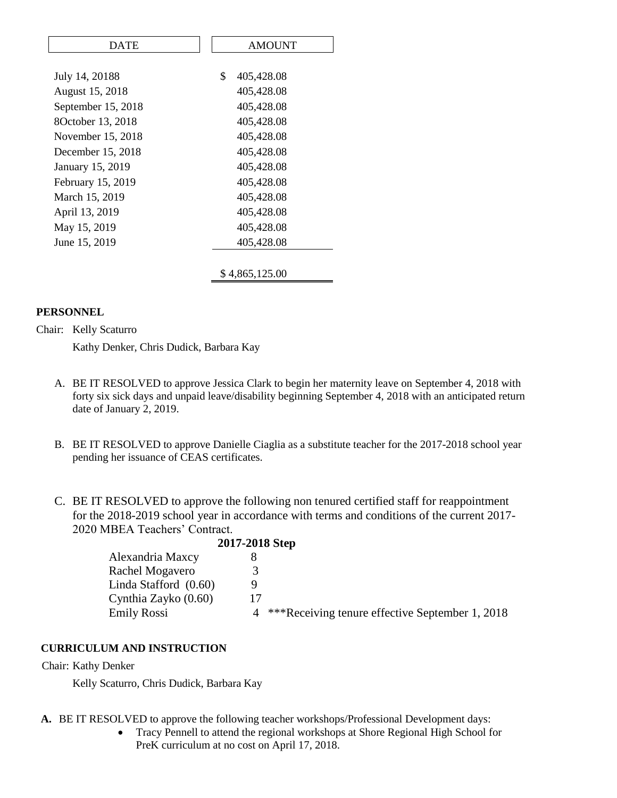| DATE               | <b>AMOUNT</b>         |
|--------------------|-----------------------|
|                    |                       |
| July 14, 20188     | \$<br>405,428.08      |
| August 15, 2018    | 405,428.08            |
| September 15, 2018 | 405,428.08            |
| 8October 13, 2018  | 405,428.08            |
| November 15, 2018  | 405,428.08            |
| December 15, 2018  | 405,428.08            |
| January 15, 2019   | 405,428.08            |
| February 15, 2019  | 405,428.08            |
| March 15, 2019     | 405,428.08            |
| April 13, 2019     | 405,428.08            |
| May 15, 2019       | 405,428.08            |
| June 15, 2019      | 405,428.08            |
|                    |                       |
|                    | <i>s</i> 4,865,125.00 |
|                    |                       |

# **PERSONNEL**

Chair: Kelly Scaturro

Kathy Denker, Chris Dudick, Barbara Kay

- A. BE IT RESOLVED to approve Jessica Clark to begin her maternity leave on September 4, 2018 with forty six sick days and unpaid leave/disability beginning September 4, 2018 with an anticipated return date of January 2, 2019.
- B. BE IT RESOLVED to approve Danielle Ciaglia as a substitute teacher for the 2017-2018 school year pending her issuance of CEAS certificates.
- C. BE IT RESOLVED to approve the following non tenured certified staff for reappointment for the 2018-2019 school year in accordance with terms and conditions of the current 2017- 2020 MBEA Teachers' Contract.

|                         | 2017-2018 Step |                                                 |
|-------------------------|----------------|-------------------------------------------------|
| Alexandria Maxcy        |                |                                                 |
| Rachel Mogavero         |                |                                                 |
| Linda Stafford $(0.60)$ |                |                                                 |
| Cynthia Zayko (0.60)    |                |                                                 |
| <b>Emily Rossi</b>      |                | ***Receiving tenure effective September 1, 2018 |
|                         |                |                                                 |

# **CURRICULUM AND INSTRUCTION**

Chair: Kathy Denker

Kelly Scaturro, Chris Dudick, Barbara Kay

- **A.** BE IT RESOLVED to approve the following teacher workshops/Professional Development days:
	- Tracy Pennell to attend the regional workshops at Shore Regional High School for PreK curriculum at no cost on April 17, 2018.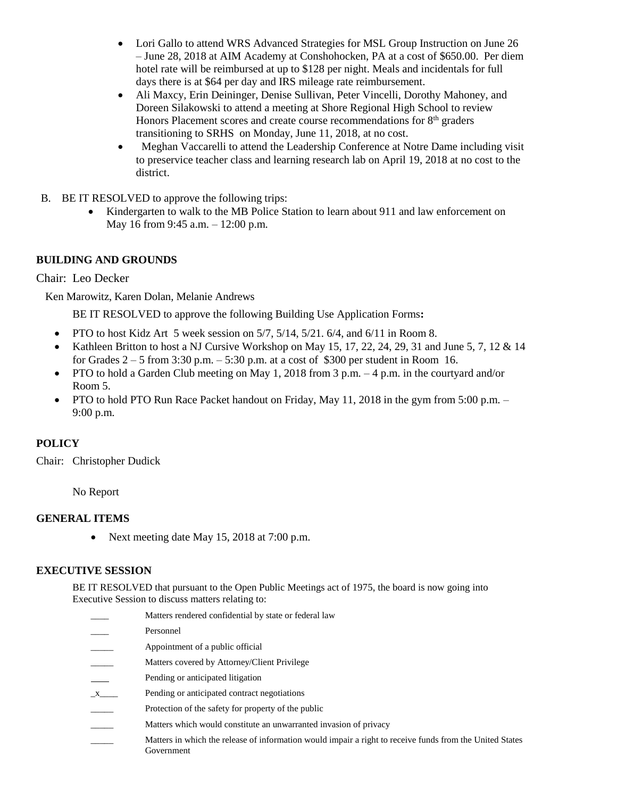- Lori Gallo to attend WRS Advanced Strategies for MSL Group Instruction on June 26 – June 28, 2018 at AIM Academy at Conshohocken, PA at a cost of \$650.00. Per diem hotel rate will be reimbursed at up to \$128 per night. Meals and incidentals for full days there is at \$64 per day and IRS mileage rate reimbursement.
- Ali Maxcy, Erin Deininger, Denise Sullivan, Peter Vincelli, Dorothy Mahoney, and Doreen Silakowski to attend a meeting at Shore Regional High School to review Honors Placement scores and create course recommendations for  $8<sup>th</sup>$  graders transitioning to SRHS on Monday, June 11, 2018, at no cost.
- Meghan Vaccarelli to attend the Leadership Conference at Notre Dame including visit to preservice teacher class and learning research lab on April 19, 2018 at no cost to the district.
- B. BE IT RESOLVED to approve the following trips:
	- Kindergarten to walk to the MB Police Station to learn about 911 and law enforcement on May 16 from 9:45 a.m. – 12:00 p.m.

# **BUILDING AND GROUNDS**

Chair: Leo Decker

Ken Marowitz, Karen Dolan, Melanie Andrews

BE IT RESOLVED to approve the following Building Use Application Forms**:** 

- PTO to host Kidz Art 5 week session on  $5/7$ ,  $5/14$ ,  $5/21$ .  $6/4$ , and  $6/11$  in Room 8.
- Kathleen Britton to host a NJ Cursive Workshop on May 15, 17, 22, 24, 29, 31 and June 5, 7, 12 & 14 for Grades  $2 - 5$  from 3:30 p.m.  $- 5:30$  p.m. at a cost of \$300 per student in Room 16.
- PTO to hold a Garden Club meeting on May 1, 2018 from 3 p.m.  $-4$  p.m. in the courtyard and/or Room 5.
- PTO to hold PTO Run Race Packet handout on Friday, May 11, 2018 in the gym from 5:00 p.m. 9:00 p.m.

# **POLICY**

Chair: Christopher Dudick

No Report

# **GENERAL ITEMS**

• Next meeting date May 15, 2018 at 7:00 p.m.

# **EXECUTIVE SESSION**

BE IT RESOLVED that pursuant to the Open Public Meetings act of 1975, the board is now going into Executive Session to discuss matters relating to:

- Matters rendered confidential by state or federal law
- Personnel
- Appointment of a public official
- Matters covered by Attorney/Client Privilege
- Pending or anticipated litigation
- \_x\_\_\_\_ Pending or anticipated contract negotiations
- Protection of the safety for property of the public
- Matters which would constitute an unwarranted invasion of privacy
- \_\_\_\_\_ Matters in which the release of information would impair a right to receive funds from the United States Government